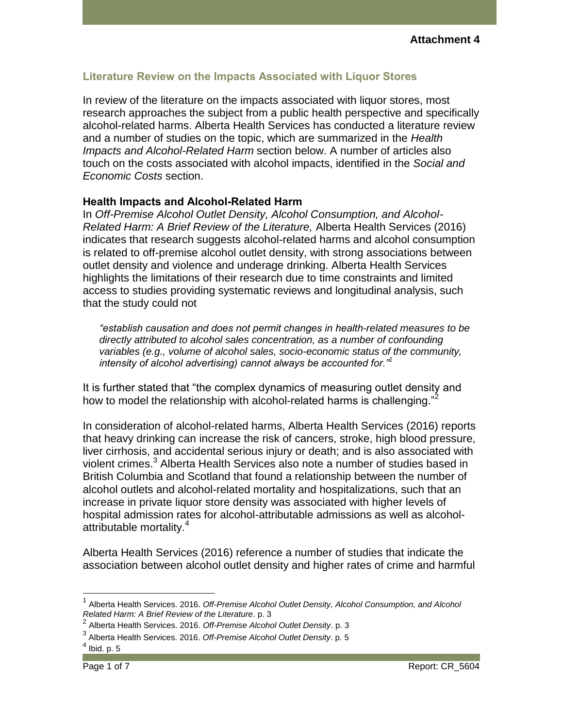## **Literature Review on the Impacts Associated with Liquor Stores**

In review of the literature on the impacts associated with liquor stores, most research approaches the subject from a public health perspective and specifically alcohol-related harms. Alberta Health Services has conducted a literature review and a number of studies on the topic, which are summarized in the *Health Impacts and Alcohol-Related Harm* section below. A number of articles also touch on the costs associated with alcohol impacts, identified in the *Social and Economic Costs* section.

### **Health Impacts and Alcohol-Related Harm**

In *Off-Premise Alcohol Outlet Density, Alcohol Consumption, and Alcohol-Related Harm: A Brief Review of the Literature,* Alberta Health Services (2016) indicates that research suggests alcohol-related harms and alcohol consumption is related to off-premise alcohol outlet density, with strong associations between outlet density and violence and underage drinking. Alberta Health Services highlights the limitations of their research due to time constraints and limited access to studies providing systematic reviews and longitudinal analysis, such that the study could not

*"establish causation and does not permit changes in health-related measures to be directly attributed to alcohol sales concentration, as a number of confounding variables (e.g., volume of alcohol sales, socio-economic status of the community, intensity of alcohol advertising) cannot always be accounted for."<sup>1</sup>*

It is further stated that "the complex dynamics of measuring outlet density and how to model the relationship with alcohol-related harms is challenging."

In consideration of alcohol-related harms, Alberta Health Services (2016) reports that heavy drinking can increase the risk of cancers, stroke, high blood pressure, liver cirrhosis, and accidental serious injury or death; and is also associated with violent crimes.<sup>3</sup> Alberta Health Services also note a number of studies based in British Columbia and Scotland that found a relationship between the number of alcohol outlets and alcohol-related mortality and hospitalizations, such that an increase in private liquor store density was associated with higher levels of hospital admission rates for alcohol-attributable admissions as well as alcoholattributable mortality.<sup>4</sup>

Alberta Health Services (2016) reference a number of studies that indicate the association between alcohol outlet density and higher rates of crime and harmful

<sup>1</sup> Alberta Health Services. 2016. *Off-Premise Alcohol Outlet Density, Alcohol Consumption, and Alcohol Related Harm: A Brief Review of the Literature*. p. 3

<sup>2</sup> Alberta Health Services. 2016. *Off-Premise Alcohol Outlet Density*. p. 3

<sup>3</sup> Alberta Health Services. 2016. *Off-Premise Alcohol Outlet Density*. p. 5

 $<sup>4</sup>$  Ibid. p. 5</sup>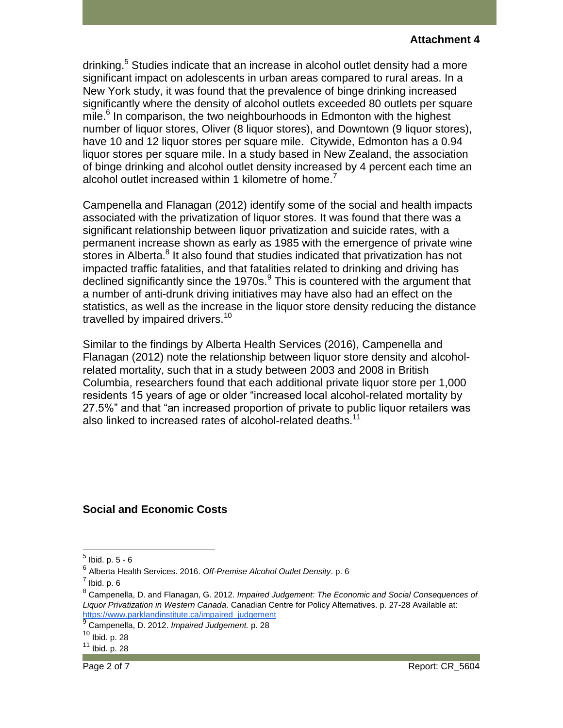drinking.<sup>5</sup> Studies indicate that an increase in alcohol outlet density had a more significant impact on adolescents in urban areas compared to rural areas. In a New York study, it was found that the prevalence of binge drinking increased significantly where the density of alcohol outlets exceeded 80 outlets per square mile.<sup>6</sup> In comparison, the two neighbourhoods in Edmonton with the highest number of liquor stores, Oliver (8 liquor stores), and Downtown (9 liquor stores), have 10 and 12 liquor stores per square mile. Citywide, Edmonton has a 0.94 liquor stores per square mile. In a study based in New Zealand, the association of binge drinking and alcohol outlet density increased by 4 percent each time an alcohol outlet increased within 1 kilometre of home.

Campenella and Flanagan (2012) identify some of the social and health impacts associated with the privatization of liquor stores. It was found that there was a significant relationship between liquor privatization and suicide rates, with a permanent increase shown as early as 1985 with the emergence of private wine .<br>stores in Alberta.<sup>8</sup> It also found that studies indicated that privatization has not impacted traffic fatalities, and that fatalities related to drinking and driving has declined significantly since the 1970s.<sup>9</sup> This is countered with the argument that a number of anti-drunk driving initiatives may have also had an effect on the statistics, as well as the increase in the liquor store density reducing the distance travelled by impaired drivers.<sup>10</sup>

Similar to the findings by Alberta Health Services (2016), Campenella and Flanagan (2012) note the relationship between liquor store density and alcoholrelated mortality, such that in a study between 2003 and 2008 in British Columbia, researchers found that each additional private liquor store per 1,000 residents 15 years of age or older "increased local alcohol-related mortality by 27.5%" and that "an increased proportion of private to public liquor retailers was also linked to increased rates of alcohol-related deaths.<sup>11</sup>

# **Social and Economic Costs**

 $\overline{a}$ 

 $^5$  Ibid. p. 5 - 6

<sup>6</sup> Alberta Health Services. 2016. *Off-Premise Alcohol Outlet Density*. p. 6

 $^7$  Ibid. p. 6

<sup>8</sup> Campenella, D. and Flanagan, G. 2012. *Impaired Judgement: The Economic and Social Consequences of Liquor Privatization in Western Canada*. Canadian Centre for Policy Alternatives. p. 27-28 Available at: [https://www.parklandinstitute.ca/impaired\\_judgement](https://www.parklandinstitute.ca/impaired_judgement)

<sup>9</sup> Campenella, D. 2012. *Impaired Judgement.* p. 28

 $10$  Ibid. p. 28

 $11$  Ibid. p.  $28$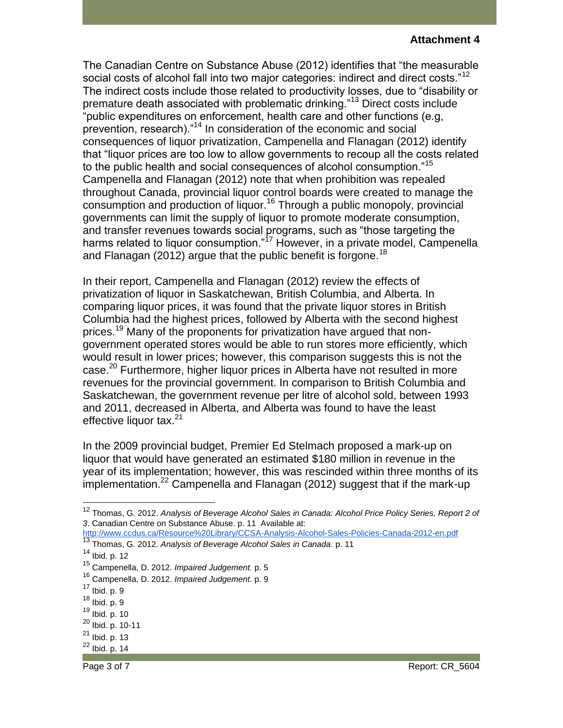### **Attachment 4**

The Canadian Centre on Substance Abuse (2012) identifies that "the measurable social costs of alcohol fall into two major categories: indirect and direct costs."<sup>12</sup> The indirect costs include those related to productivity losses, due to "disability or premature death associated with problematic drinking."<sup>13</sup> Direct costs include "public expenditures on enforcement, health care and other functions (e.g, prevention, research)."<sup>14</sup> In consideration of the economic and social consequences of liquor privatization, Campenella and Flanagan (2012) identify that "liquor prices are too low to allow governments to recoup all the costs related to the public health and social consequences of alcohol consumption."<sup>15</sup> Campenella and Flanagan (2012) note that when prohibition was repealed throughout Canada, provincial liquor control boards were created to manage the consumption and production of liquor.<sup>16</sup> Through a public monopoly, provincial governments can limit the supply of liquor to promote moderate consumption, and transfer revenues towards social programs, such as "those targeting the harms related to liquor consumption."<sup>17</sup> However, in a private model, Campenella and Flanagan (2012) argue that the public benefit is forgone.<sup>18</sup>

In their report, Campenella and Flanagan (2012) review the effects of privatization of liquor in Saskatchewan, British Columbia, and Alberta. In comparing liquor prices, it was found that the private liquor stores in British Columbia had the highest prices, followed by Alberta with the second highest prices.<sup>19</sup> Many of the proponents for privatization have argued that nongovernment operated stores would be able to run stores more efficiently, which would result in lower prices; however, this comparison suggests this is not the case.<sup>20</sup> Furthermore, higher liquor prices in Alberta have not resulted in more revenues for the provincial government. In comparison to British Columbia and Saskatchewan, the government revenue per litre of alcohol sold, between 1993 and 2011, decreased in Alberta, and Alberta was found to have the least effective liquor tax.<sup>21</sup>

In the 2009 provincial budget, Premier Ed Stelmach proposed a mark-up on liquor that would have generated an estimated \$180 million in revenue in the year of its implementation; however, this was rescinded within three months of its implementation.<sup>22</sup> Campenella and Flanagan (2012) suggest that if the mark-up

 $\overline{a}$ 

<sup>12</sup> Thomas, G. 2012. *Analysis of Beverage Alcohol Sales in Canada: Alcohol Price Policy Series, Report 2 of 3*. Canadian Centre on Substance Abuse. p. 11 Available at:

<http://www.ccdus.ca/Resource%20Library/CCSA-Analysis-Alcohol-Sales-Policies-Canada-2012-en.pdf> <sup>13</sup> Thomas, G. 2012. *Analysis of Beverage Alcohol Sales in Canada*. p. 11

<sup>14</sup> Ibid. p. 12

<sup>15</sup> Campenella, D. 2012. *Impaired Judgement.* p. 5

<sup>16</sup> Campenella, D. 2012. *Impaired Judgement.* p. 9

<sup>17</sup> Ibid. p. 9

 $18$  Ibid. p. 9

<sup>19</sup> Ibid. p. 10

<sup>20</sup> Ibid. p. 10-11

 $^{21}$  Ibid. p. 13

 $^{22}$  Ibid. p. 14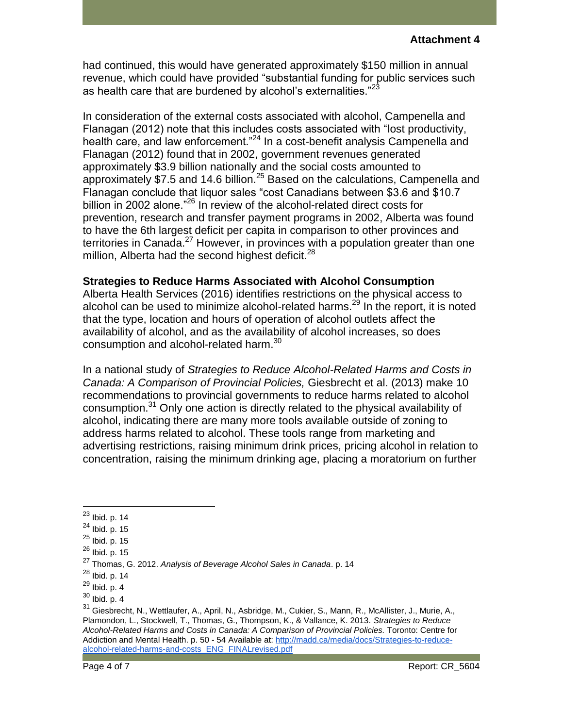had continued, this would have generated approximately \$150 million in annual revenue, which could have provided "substantial funding for public services such as health care that are burdened by alcohol's externalities."<sup>23</sup>

In consideration of the external costs associated with alcohol, Campenella and Flanagan (2012) note that this includes costs associated with "lost productivity, health care, and law enforcement."<sup>24</sup> In a cost-benefit analysis Campenella and Flanagan (2012) found that in 2002, government revenues generated approximately \$3.9 billion nationally and the social costs amounted to approximately \$7.5 and 14.6 billion.<sup>25</sup> Based on the calculations, Campenella and Flanagan conclude that liquor sales "cost Canadians between \$3.6 and \$10.7 billion in 2002 alone."<sup>26</sup> In review of the alcohol-related direct costs for prevention, research and transfer payment programs in 2002, Alberta was found to have the 6th largest deficit per capita in comparison to other provinces and territories in Canada.<sup>27</sup> However, in provinces with a population greater than one million, Alberta had the second highest deficit.<sup>28</sup>

## **Strategies to Reduce Harms Associated with Alcohol Consumption**

Alberta Health Services (2016) identifies restrictions on the physical access to alcohol can be used to minimize alcohol-related harms.<sup>29</sup> In the report, it is noted that the type, location and hours of operation of alcohol outlets affect the availability of alcohol, and as the availability of alcohol increases, so does consumption and alcohol-related harm.<sup>30</sup>

In a national study of *Strategies to Reduce Alcohol-Related Harms and Costs in Canada: A Comparison of Provincial Policies,* Giesbrecht et al. (2013) make 10 recommendations to provincial governments to reduce harms related to alcohol consumption.<sup>31</sup> Only one action is directly related to the physical availability of alcohol, indicating there are many more tools available outside of zoning to address harms related to alcohol. These tools range from marketing and advertising restrictions, raising minimum drink prices, pricing alcohol in relation to concentration, raising the minimum drinking age, placing a moratorium on further

 $\overline{a}$ 

<sup>&</sup>lt;sup>23</sup> Ibid. p. 14

<sup>24</sup> Ibid. p. 15

 $^{25}$  Ibid. p. 15

 $^{26}$  Ibid. p. 15

<sup>27</sup> Thomas, G. 2012. *Analysis of Beverage Alcohol Sales in Canada*. p. 14

<sup>28</sup> Ibid. p. 14

 $^{29}$  Ibid. p. 4

 $30$  Ibid. p. 4

<sup>31</sup> Giesbrecht, N., Wettlaufer, A., April, N., Asbridge, M., Cukier, S., Mann, R., McAllister, J., Murie, A., Plamondon, L., Stockwell, T., Thomas, G., Thompson, K., & Vallance, K. 2013. *Strategies to Reduce Alcohol-Related Harms and Costs in Canada: A Comparison of Provincial Policies.* Toronto: Centre for Addiction and Mental Health. p. 50 - 54 Available at[: http://madd.ca/media/docs/Strategies-to-reduce](http://madd.ca/media/docs/Strategies-to-reduce-alcohol-related-harms-and-costs_ENG_FINALrevised.pdf)[alcohol-related-harms-and-costs\\_ENG\\_FINALrevised.pdf](http://madd.ca/media/docs/Strategies-to-reduce-alcohol-related-harms-and-costs_ENG_FINALrevised.pdf)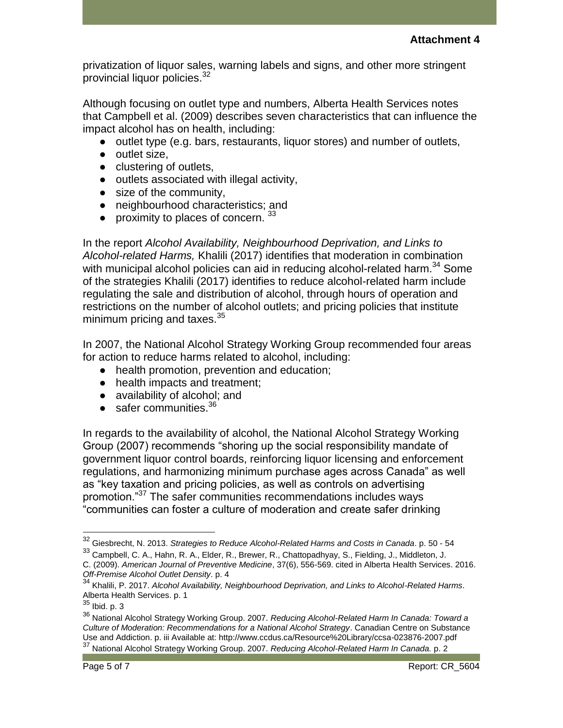privatization of liquor sales, warning labels and signs, and other more stringent provincial liquor policies.<sup>32</sup>

Although focusing on outlet type and numbers, Alberta Health Services notes that Campbell et al. (2009) describes seven characteristics that can influence the impact alcohol has on health, including:

- outlet type (e.g. bars, restaurants, liquor stores) and number of outlets,
- outlet size,
- clustering of outlets,
- outlets associated with illegal activity,
- size of the community,
- neighbourhood characteristics; and
- proximity to places of concern.  $33$

In the report *Alcohol Availability, Neighbourhood Deprivation, and Links to Alcohol-related Harms,* Khalili (2017) identifies that moderation in combination with municipal alcohol policies can aid in reducing alcohol-related harm.<sup>34</sup> Some of the strategies Khalili (2017) identifies to reduce alcohol-related harm include regulating the sale and distribution of alcohol, through hours of operation and restrictions on the number of alcohol outlets; and pricing policies that institute minimum pricing and taxes.<sup>35</sup>

In 2007, the National Alcohol Strategy Working Group recommended four areas for action to reduce harms related to alcohol, including:

- health promotion, prevention and education;
- health impacts and treatment;
- availability of alcohol; and
- $\bullet$  safer communities.<sup>36</sup>

In regards to the availability of alcohol, the National Alcohol Strategy Working Group (2007) recommends "shoring up the social responsibility mandate of government liquor control boards, reinforcing liquor licensing and enforcement regulations, and harmonizing minimum purchase ages across Canada" as well as "key taxation and pricing policies, as well as controls on advertising promotion."<sup>37</sup> The safer communities recommendations includes ways "communities can foster a culture of moderation and create safer drinking

<sup>32</sup> Giesbrecht, N. 2013. *Strategies to Reduce Alcohol-Related Harms and Costs in Canada*. p. 50 - 54

<sup>33</sup> Campbell, C. A., Hahn, R. A., Elder, R., Brewer, R., Chattopadhyay, S., Fielding, J., Middleton, J. C. (2009). *American Journal of Preventive Medicine*, 37(6), 556-569. cited in Alberta Health Services. 2016.

*Off-Premise Alcohol Outlet Density*. p. 4

<sup>34</sup> Khalili, P. 2017. *Alcohol Availability, Neighbourhood Deprivation, and Links to Alcohol-Related Harms*. Alberta Health Services. p. 1

 $^{35}$  Ibid. p. 3

<sup>36</sup> National Alcohol Strategy Working Group. 2007. *Reducing Alcohol-Related Harm In Canada: Toward a Culture of Moderation: Recommendations for a National Alcohol Strategy*. Canadian Centre on Substance Use and Addiction. p. iii Available at: http://www.ccdus.ca/Resource%20Library/ccsa-023876-2007.pdf <sup>37</sup> National Alcohol Strategy Working Group. 2007. *Reducing Alcohol-Related Harm In Canada.* p. 2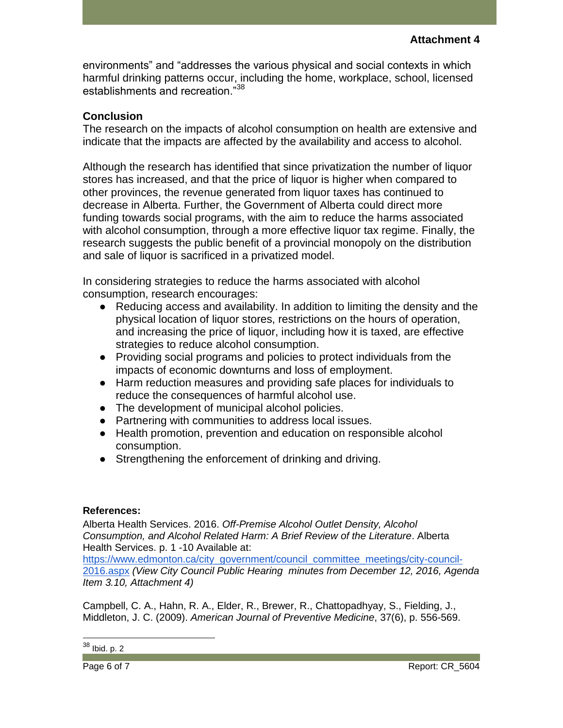environments" and "addresses the various physical and social contexts in which harmful drinking patterns occur, including the home, workplace, school, licensed establishments and recreation."<sup>38</sup>

## **Conclusion**

The research on the impacts of alcohol consumption on health are extensive and indicate that the impacts are affected by the availability and access to alcohol.

Although the research has identified that since privatization the number of liquor stores has increased, and that the price of liquor is higher when compared to other provinces, the revenue generated from liquor taxes has continued to decrease in Alberta. Further, the Government of Alberta could direct more funding towards social programs, with the aim to reduce the harms associated with alcohol consumption, through a more effective liquor tax regime. Finally, the research suggests the public benefit of a provincial monopoly on the distribution and sale of liquor is sacrificed in a privatized model.

In considering strategies to reduce the harms associated with alcohol consumption, research encourages:

- Reducing access and availability. In addition to limiting the density and the physical location of liquor stores, restrictions on the hours of operation, and increasing the price of liquor, including how it is taxed, are effective strategies to reduce alcohol consumption.
- Providing social programs and policies to protect individuals from the impacts of economic downturns and loss of employment.
- Harm reduction measures and providing safe places for individuals to reduce the consequences of harmful alcohol use.
- The development of municipal alcohol policies.
- Partnering with communities to address local issues.
- Health promotion, prevention and education on responsible alcohol consumption.
- Strengthening the enforcement of drinking and driving.

## **References:**

Alberta Health Services. 2016. *Off-Premise Alcohol Outlet Density, Alcohol Consumption, and Alcohol Related Harm: A Brief Review of the Literature*. Alberta Health Services. p. 1 -10 Available at:

[https://www.edmonton.ca/city\\_government/council\\_committee\\_meetings/city-council-](https://www.edmonton.ca/city_government/council_committee_meetings/city-council-2016.aspx)[2016.aspx](https://www.edmonton.ca/city_government/council_committee_meetings/city-council-2016.aspx) *(View City Council Public Hearing minutes from December 12, 2016, Agenda Item 3.10, Attachment 4)*

Campbell, C. A., Hahn, R. A., Elder, R., Brewer, R., Chattopadhyay, S., Fielding, J., Middleton, J. C. (2009). *American Journal of Preventive Medicine*, 37(6), p. 556-569.

 $38$  Ibid. p. 2